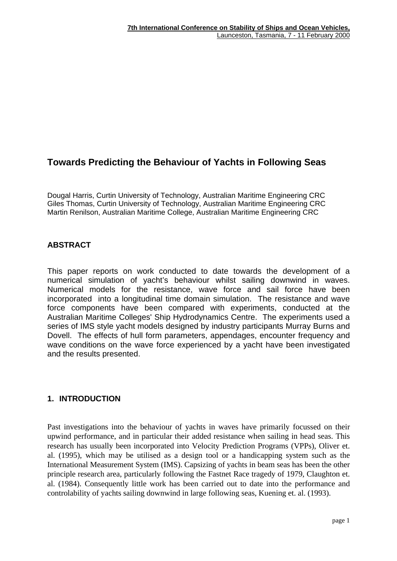# **Towards Predicting the Behaviour of Yachts in Following Seas**

Dougal Harris, Curtin University of Technology, Australian Maritime Engineering CRC Giles Thomas, Curtin University of Technology, Australian Maritime Engineering CRC Martin Renilson, Australian Maritime College, Australian Maritime Engineering CRC

# **ABSTRACT**

This paper reports on work conducted to date towards the development of a numerical simulation of yacht's behaviour whilst sailing downwind in waves. Numerical models for the resistance, wave force and sail force have been incorporated into a longitudinal time domain simulation. The resistance and wave force components have been compared with experiments, conducted at the Australian Maritime Colleges' Ship Hydrodynamics Centre. The experiments used a series of IMS style yacht models designed by industry participants Murray Burns and Dovell. The effects of hull form parameters, appendages, encounter frequency and wave conditions on the wave force experienced by a yacht have been investigated and the results presented.

# **1. INTRODUCTION**

Past investigations into the behaviour of yachts in waves have primarily focussed on their upwind performance, and in particular their added resistance when sailing in head seas. This research has usually been incorporated into Velocity Prediction Programs (VPPs), Oliver et. al. (1995), which may be utilised as a design tool or a handicapping system such as the International Measurement System (IMS). Capsizing of yachts in beam seas has been the other principle research area, particularly following the Fastnet Race tragedy of 1979, Claughton et. al. (1984). Consequently little work has been carried out to date into the performance and controlability of yachts sailing downwind in large following seas, Kuening et. al. (1993).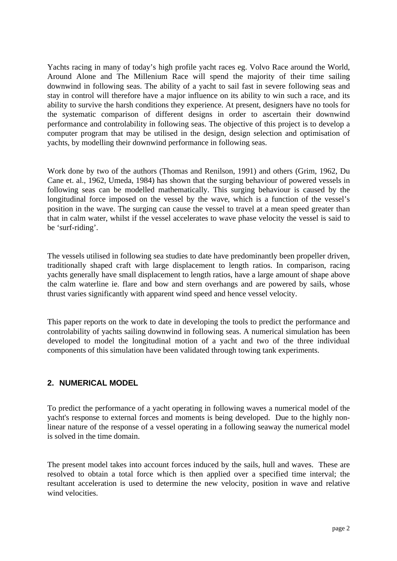Yachts racing in many of today's high profile yacht races eg. Volvo Race around the World, Around Alone and The Millenium Race will spend the majority of their time sailing downwind in following seas. The ability of a yacht to sail fast in severe following seas and stay in control will therefore have a major influence on its ability to win such a race, and its ability to survive the harsh conditions they experience. At present, designers have no tools for the systematic comparison of different designs in order to ascertain their downwind performance and controlability in following seas. The objective of this project is to develop a computer program that may be utilised in the design, design selection and optimisation of yachts, by modelling their downwind performance in following seas.

Work done by two of the authors (Thomas and Renilson, 1991) and others (Grim, 1962, Du Cane et. al., 1962, Umeda, 1984) has shown that the surging behaviour of powered vessels in following seas can be modelled mathematically. This surging behaviour is caused by the longitudinal force imposed on the vessel by the wave, which is a function of the vessel's position in the wave. The surging can cause the vessel to travel at a mean speed greater than that in calm water, whilst if the vessel accelerates to wave phase velocity the vessel is said to be 'surf-riding'.

The vessels utilised in following sea studies to date have predominantly been propeller driven, traditionally shaped craft with large displacement to length ratios. In comparison, racing yachts generally have small displacement to length ratios, have a large amount of shape above the calm waterline ie. flare and bow and stern overhangs and are powered by sails, whose thrust varies significantly with apparent wind speed and hence vessel velocity.

This paper reports on the work to date in developing the tools to predict the performance and controlability of yachts sailing downwind in following seas. A numerical simulation has been developed to model the longitudinal motion of a yacht and two of the three individual components of this simulation have been validated through towing tank experiments.

# **2. NUMERICAL MODEL**

To predict the performance of a yacht operating in following waves a numerical model of the yacht's response to external forces and moments is being developed. Due to the highly nonlinear nature of the response of a vessel operating in a following seaway the numerical model is solved in the time domain.

The present model takes into account forces induced by the sails, hull and waves. These are resolved to obtain a total force which is then applied over a specified time interval; the resultant acceleration is used to determine the new velocity, position in wave and relative wind velocities.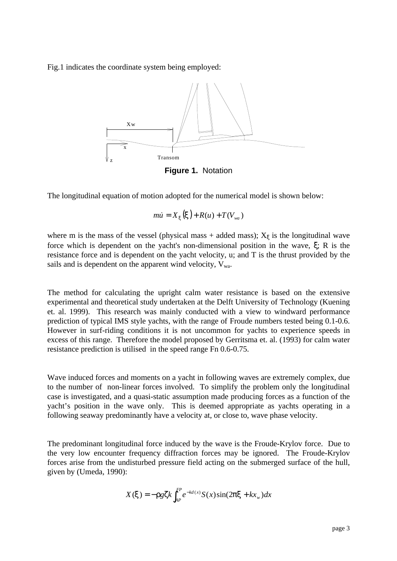Fig.1 indicates the coordinate system being employed:



**Figure 1.** Notation

The longitudinal equation of motion adopted for the numerical model is shown below:

$$
m\dot{u} = X_{\mathbf{x}}(\mathbf{x}) + R(u) + T(V_{wa})
$$

where m is the mass of the vessel (physical mass + added mass);  $X_{\xi}$  is the longitudinal wave force which is dependent on the yacht's non-dimensional position in the wave, ξ; R is the resistance force and is dependent on the yacht velocity, u; and T is the thrust provided by the sails and is dependent on the apparent wind velocity,  $V_{wa}$ .

The method for calculating the upright calm water resistance is based on the extensive experimental and theoretical study undertaken at the Delft University of Technology (Kuening et. al. 1999). This research was mainly conducted with a view to windward performance prediction of typical IMS style yachts, with the range of Froude numbers tested being 0.1-0.6. However in surf-riding conditions it is not uncommon for yachts to experience speeds in excess of this range. Therefore the model proposed by Gerritsma et. al. (1993) for calm water resistance prediction is utilised in the speed range Fn 0.6-0.75.

Wave induced forces and moments on a yacht in following waves are extremely complex, due to the number of non-linear forces involved. To simplify the problem only the longitudinal case is investigated, and a quasi-static assumption made producing forces as a function of the yacht's position in the wave only. This is deemed appropriate as yachts operating in a following seaway predominantly have a velocity at, or close to, wave phase velocity.

The predominant longitudinal force induced by the wave is the Froude-Krylov force. Due to the very low encounter frequency diffraction forces may be ignored. The Froude-Krylov forces arise from the undisturbed pressure field acting on the submerged surface of the hull, given by (Umeda, 1990):

$$
X(\mathbf{x}) = -\mathbf{r} g \mathbf{z} k \int_{AP}^{FP} e^{-kd(x)} S(x) \sin(2\mathbf{p} \mathbf{x} + k x_w) dx
$$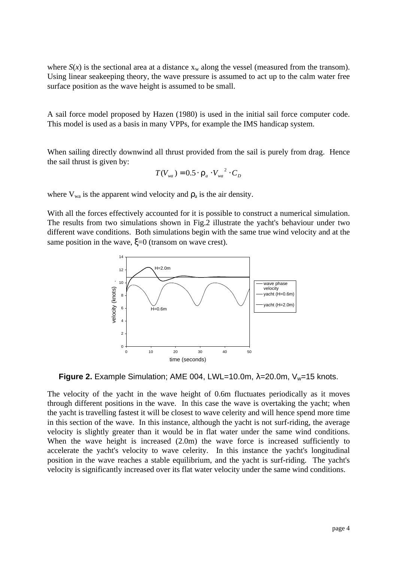where  $S(x)$  is the sectional area at a distance  $x_w$  along the vessel (measured from the transom). Using linear seakeeping theory, the wave pressure is assumed to act up to the calm water free surface position as the wave height is assumed to be small.

A sail force model proposed by Hazen (1980) is used in the initial sail force computer code. This model is used as a basis in many VPPs, for example the IMS handicap system.

When sailing directly downwind all thrust provided from the sail is purely from drag. Hence the sail thrust is given by:

$$
T(V_{wa}) = 0.5 \cdot \boldsymbol{r}_a \cdot V_{wa}^2 \cdot C_D
$$

where  $V_{wa}$  is the apparent wind velocity and  $r_a$  is the air density.

With all the forces effectively accounted for it is possible to construct a numerical simulation. The results from two simulations shown in Fig.2 illustrate the yacht's behaviour under two different wave conditions. Both simulations begin with the same true wind velocity and at the same position in the wave,  $\xi=0$  (transom on wave crest).



**Figure 2.** Example Simulation; AME 004, LWL=10.0m, λ=20.0m, V<sub>w</sub>=15 knots.

The velocity of the yacht in the wave height of 0.6m fluctuates periodically as it moves through different positions in the wave. In this case the wave is overtaking the yacht; when the yacht is travelling fastest it will be closest to wave celerity and will hence spend more time in this section of the wave. In this instance, although the yacht is not surf-riding, the average velocity is slightly greater than it would be in flat water under the same wind conditions. When the wave height is increased (2.0m) the wave force is increased sufficiently to accelerate the yacht's velocity to wave celerity. In this instance the yacht's longitudinal position in the wave reaches a stable equilibrium, and the yacht is surf-riding. The yacht's velocity is significantly increased over its flat water velocity under the same wind conditions.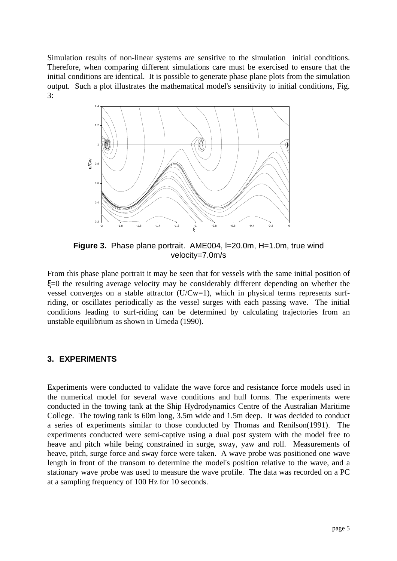Simulation results of non-linear systems are sensitive to the simulation initial conditions. Therefore, when comparing different simulations care must be exercised to ensure that the initial conditions are identical. It is possible to generate phase plane plots from the simulation output. Such a plot illustrates the mathematical model's sensitivity to initial conditions, Fig. 3:



**Figure 3.** Phase plane portrait. AME004, I=20.0m, H=1.0m, true wind velocity=7.0m/s

From this phase plane portrait it may be seen that for vessels with the same initial position of ξ=0 the resulting average velocity may be considerably different depending on whether the vessel converges on a stable attractor (U/Cw=1), which in physical terms represents surfriding, or oscillates periodically as the vessel surges with each passing wave. The initial conditions leading to surf-riding can be determined by calculating trajectories from an unstable equilibrium as shown in Umeda (1990).

#### **3. EXPERIMENTS**

Experiments were conducted to validate the wave force and resistance force models used in the numerical model for several wave conditions and hull forms. The experiments were conducted in the towing tank at the Ship Hydrodynamics Centre of the Australian Maritime College. The towing tank is 60m long, 3.5m wide and 1.5m deep. It was decided to conduct a series of experiments similar to those conducted by Thomas and Renilson(1991). The experiments conducted were semi-captive using a dual post system with the model free to heave and pitch while being constrained in surge, sway, yaw and roll. Measurements of heave, pitch, surge force and sway force were taken. A wave probe was positioned one wave length in front of the transom to determine the model's position relative to the wave, and a stationary wave probe was used to measure the wave profile. The data was recorded on a PC at a sampling frequency of 100 Hz for 10 seconds.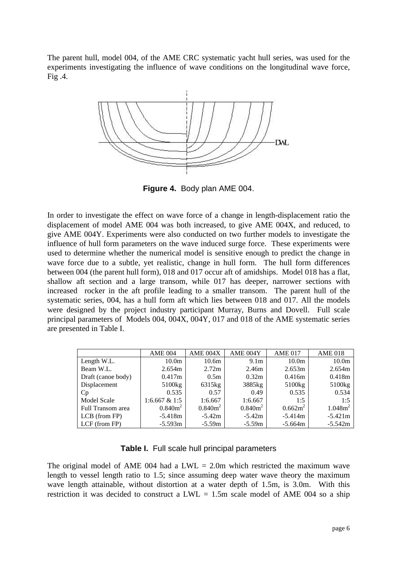The parent hull, model 004, of the AME CRC systematic yacht hull series, was used for the experiments investigating the influence of wave conditions on the longitudinal wave force, Fig .4.



**Figure 4.** Body plan AME 004.

In order to investigate the effect on wave force of a change in length-displacement ratio the displacement of model AME 004 was both increased, to give AME 004X, and reduced, to give AME 004Y. Experiments were also conducted on two further models to investigate the influence of hull form parameters on the wave induced surge force. These experiments were used to determine whether the numerical model is sensitive enough to predict the change in wave force due to a subtle, yet realistic, change in hull form. The hull form differences between 004 (the parent hull form), 018 and 017 occur aft of amidships. Model 018 has a flat, shallow aft section and a large transom, while 017 has deeper, narrower sections with increased rocker in the aft profile leading to a smaller transom. The parent hull of the systematic series, 004, has a hull form aft which lies between 018 and 017. All the models were designed by the project industry participant Murray, Burns and Dovell. Full scale principal parameters of Models 004, 004X, 004Y, 017 and 018 of the AME systematic series are presented in Table I.

|                    | <b>AME 004</b>     | AME 004X          | <b>AME 004Y</b>  | <b>AME 017</b>    | <b>AME 018</b>      |
|--------------------|--------------------|-------------------|------------------|-------------------|---------------------|
| Length W.L.        | 10.0 <sub>m</sub>  | 10.6 <sub>m</sub> | 9.1 <sub>m</sub> | 10.0 <sub>m</sub> | 10.0 <sub>m</sub>   |
| Beam W.L.          | 2.654m             | 2.72 <sub>m</sub> | 2.46m            | 2.653m            | 2.654m              |
| Draft (canoe body) | 0.417m             | 0.5 <sub>m</sub>  | 0.32m            | 0.416m            | 0.418m              |
| Displacement       | 5100 <sub>kg</sub> | 6315kg            | 3885kg           | 5100kg            | 5100 <sub>kg</sub>  |
| Cp                 | 0.535              | 0.57              | 0.49             | 0.535             | 0.534               |
| <b>Model Scale</b> | 1:6.667 & 1:5      | 1:6.667           | 1:6.667          | 1:5               | 1:5                 |
| Full Transom area  | $0.840m^2$         | $0.840m^2$        | $0.840m^2$       | $0.662m^2$        | 1.048m <sup>2</sup> |
| $LCB$ (from FP)    | $-5.418m$          | $-5.42m$          | $-5.42m$         | $-5.414m$         | $-5.421m$           |
| LCF (from FP)      | $-5.593m$          | $-5.59m$          | $-5.59m$         | $-5.664m$         | $-5.542m$           |

**Table I.** Full scale hull principal parameters

The original model of AME 004 had a  $LWL = 2.0$ m which restricted the maximum wave length to vessel length ratio to 1.5; since assuming deep water wave theory the maximum wave length attainable, without distortion at a water depth of 1.5m, is 3.0m. With this restriction it was decided to construct a LWL  $= 1.5$ m scale model of AME 004 so a ship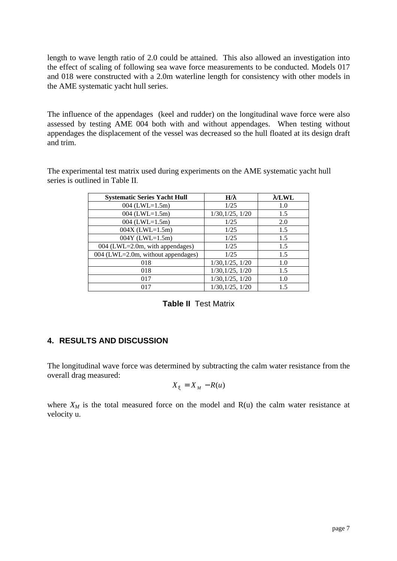length to wave length ratio of 2.0 could be attained. This also allowed an investigation into the effect of scaling of following sea wave force measurements to be conducted. Models 017 and 018 were constructed with a 2.0m waterline length for consistency with other models in the AME systematic yacht hull series.

The influence of the appendages (keel and rudder) on the longitudinal wave force were also assessed by testing AME 004 both with and without appendages. When testing without appendages the displacement of the vessel was decreased so the hull floated at its design draft and trim.

The experimental test matrix used during experiments on the AME systematic yacht hull series is outlined in Table II.

| <b>Systematic Series Yacht Hull</b> | H/I              | 1/LWL |
|-------------------------------------|------------------|-------|
| 004 (LWL= $1.5m$ )                  | 1/25             | 1.0   |
| 004 (LWL= $1.5m$ )                  | 1/30, 1/25, 1/20 | 1.5   |
| 004 (LWL=1.5m)                      | 1/25             | 2.0   |
| $004X$ (LWL=1.5m)                   | 1/25             | 1.5   |
| $004Y$ (LWL=1.5m)                   | 1/25             | 1.5   |
| $004$ (LWL=2.0m, with appendages)   | 1/25             | 1.5   |
| 004 (LWL=2.0m, without appendages)  | 1/25             | 1.5   |
| 018                                 | 1/30, 1/25, 1/20 | 1.0   |
| 018                                 | 1/30, 1/25, 1/20 | 1.5   |
| 017                                 | 1/30, 1/25, 1/20 | 1.0   |
| 017                                 | 1/30, 1/25, 1/20 | 1.5   |

| <b>Table II</b> Test Matrix |
|-----------------------------|
|                             |

### **4. RESULTS AND DISCUSSION**

The longitudinal wave force was determined by subtracting the calm water resistance from the overall drag measured:

$$
X_x = X_{M} - R(u)
$$

where  $X_M$  is the total measured force on the model and  $R(u)$  the calm water resistance at velocity u.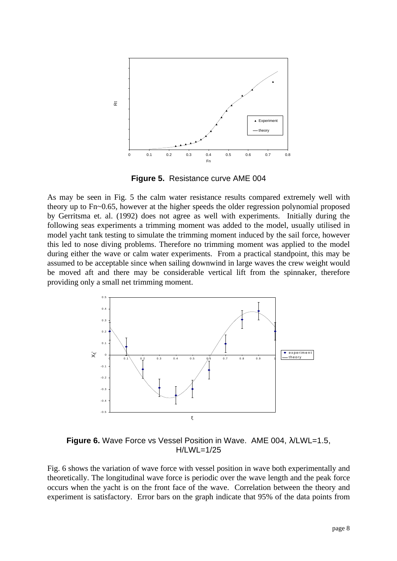

**Figure 5.** Resistance curve AME 004

As may be seen in Fig. 5 the calm water resistance results compared extremely well with theory up to Fn~0.65, however at the higher speeds the older regression polynomial proposed by Gerritsma et. al. (1992) does not agree as well with experiments. Initially during the following seas experiments a trimming moment was added to the model, usually utilised in model yacht tank testing to simulate the trimming moment induced by the sail force, however this led to nose diving problems. Therefore no trimming moment was applied to the model during either the wave or calm water experiments. From a practical standpoint, this may be assumed to be acceptable since when sailing downwind in large waves the crew weight would be moved aft and there may be considerable vertical lift from the spinnaker, therefore providing only a small net trimming moment.



**Figure 6.** Wave Force vs Vessel Position in Wave. AME 004, λ/LWL=1.5, H/LWL=1/25

Fig. 6 shows the variation of wave force with vessel position in wave both experimentally and theoretically. The longitudinal wave force is periodic over the wave length and the peak force occurs when the yacht is on the front face of the wave. Correlation between the theory and experiment is satisfactory. Error bars on the graph indicate that 95% of the data points from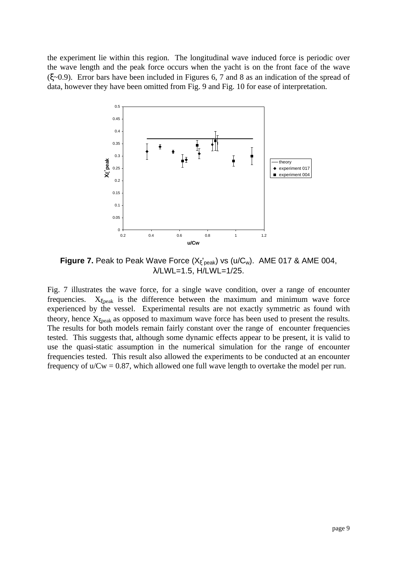the experiment lie within this region. The longitudinal wave induced force is periodic over the wave length and the peak force occurs when the yacht is on the front face of the wave (ξ~0.9). Error bars have been included in Figures 6, 7 and 8 as an indication of the spread of data, however they have been omitted from Fig. 9 and Fig. 10 for ease of interpretation.



**Figure 7.** Peak to Peak Wave Force (X<sub>5</sub>'<sub>peak</sub>) vs (u/C<sub>w</sub>). AME 017 & AME 004, λ/LWL=1.5, H/LWL=1/25.

Fig. 7 illustrates the wave force, for a single wave condition, over a range of encounter frequencies.  $X_{\xi$ peak is the difference between the maximum and minimum wave force experienced by the vessel. Experimental results are not exactly symmetric as found with theory, hence  $X_{\xi$ peak as opposed to maximum wave force has been used to present the results. The results for both models remain fairly constant over the range of encounter frequencies tested. This suggests that, although some dynamic effects appear to be present, it is valid to use the quasi-static assumption in the numerical simulation for the range of encounter frequencies tested. This result also allowed the experiments to be conducted at an encounter frequency of  $u/Cw = 0.87$ , which allowed one full wave length to overtake the model per run.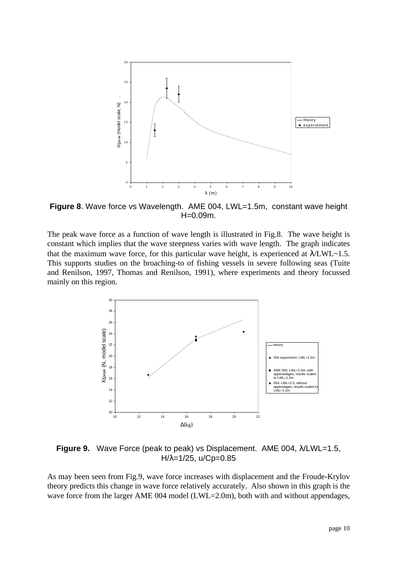

**Figure 8**. Wave force vs Wavelength. AME 004, LWL=1.5m, constant wave height H=0.09m.

The peak wave force as a function of wave length is illustrated in Fig.8. The wave height is constant which implies that the wave steepness varies with wave length. The graph indicates that the maximum wave force, for this particular wave height, is experienced at  $\lambda$ LWL~1.5. This supports studies on the broaching-to of fishing vessels in severe following seas (Tuite and Renilson, 1997, Thomas and Renilson, 1991), where experiments and theory focussed mainly on this region.



**Figure 9.** Wave Force (peak to peak) vs Displacement. AME 004, λ/LWL=1.5,  $H/\lambda = 1/25$ , u/Cp=0.85

As may been seen from Fig.9, wave force increases with displacement and the Froude-Krylov theory predicts this change in wave force relatively accurately. Also shown in this graph is the wave force from the larger AME 004 model (LWL=2.0m), both with and without appendages,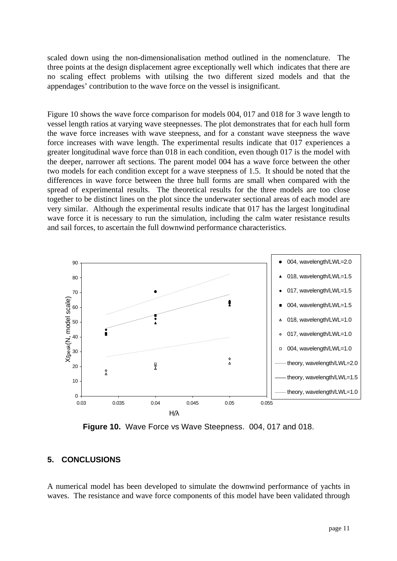scaled down using the non-dimensionalisation method outlined in the nomenclature. The three points at the design displacement agree exceptionally well which indicates that there are no scaling effect problems with utilsing the two different sized models and that the appendages' contribution to the wave force on the vessel is insignificant.

Figure 10 shows the wave force comparison for models 004, 017 and 018 for 3 wave length to vessel length ratios at varying wave steepnesses. The plot demonstrates that for each hull form the wave force increases with wave steepness, and for a constant wave steepness the wave force increases with wave length. The experimental results indicate that 017 experiences a greater longitudinal wave force than 018 in each condition, even though 017 is the model with the deeper, narrower aft sections. The parent model 004 has a wave force between the other two models for each condition except for a wave steepness of 1.5. It should be noted that the differences in wave force between the three hull forms are small when compared with the spread of experimental results. The theoretical results for the three models are too close together to be distinct lines on the plot since the underwater sectional areas of each model are very similar. Although the experimental results indicate that 017 has the largest longitudinal wave force it is necessary to run the simulation, including the calm water resistance results and sail forces, to ascertain the full downwind performance characteristics.



**Figure 10.** Wave Force vs Wave Steepness. 004, 017 and 018.

# **5. CONCLUSIONS**

A numerical model has been developed to simulate the downwind performance of yachts in waves. The resistance and wave force components of this model have been validated through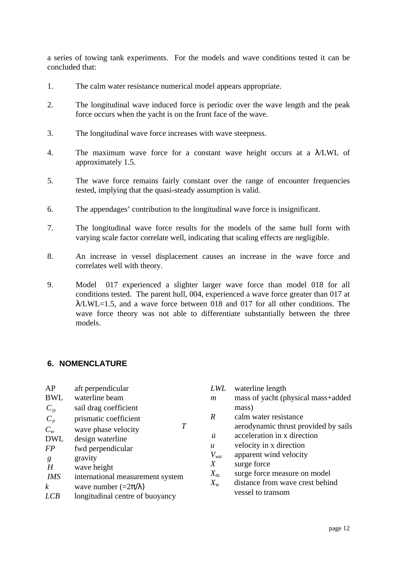a series of towing tank experiments. For the models and wave conditions tested it can be concluded that:

- 1. The calm water resistance numerical model appears appropriate.
- 2. The longitudinal wave induced force is periodic over the wave length and the peak force occurs when the yacht is on the front face of the wave.
- 3. The longitudinal wave force increases with wave steepness.
- 4. The maximum wave force for a constant wave height occurs at a λ/LWL of approximately 1.5.
- 5. The wave force remains fairly constant over the range of encounter frequencies tested, implying that the quasi-steady assumption is valid.
- 6. The appendages' contribution to the longitudinal wave force is insignificant.
- 7. The longitudinal wave force results for the models of the same hull form with varying scale factor correlate well, indicating that scaling effects are negligible.
- 8. An increase in vessel displacement causes an increase in the wave force and correlates well with theory.
- 9. Model 017 experienced a slighter larger wave force than model 018 for all conditions tested. The parent hull, 004, experienced a wave force greater than 017 at  $\lambda$ LWL=1.5, and a wave force between 018 and 017 for all other conditions. The wave force theory was not able to differentiate substantially between the three models.

#### **6. NOMENCLATURE**

| AP               | aft perpendicular                     |
|------------------|---------------------------------------|
| <b>BWL</b>       | waterline beam                        |
| $C_p$            | sail drag coefficient                 |
| $C_p$            | prismatic coefficient                 |
| $C_w$            | T<br>wave phase velocity              |
| <b>DWL</b>       | design waterline                      |
| <i>FP</i>        | fwd perpendicular                     |
| g                | gravity                               |
| H                | wave height                           |
| <b>IMS</b>       | international measurement system      |
| $\boldsymbol{k}$ | wave number $(=\frac{2\pi}{\lambda})$ |
|                  | longitudinal centre of buoyancy       |

|                     | LWL                        | waterline length                     |
|---------------------|----------------------------|--------------------------------------|
|                     | $\boldsymbol{m}$           | mass of yacht (physical mass+added   |
|                     |                            | mass)                                |
|                     | R                          | calm water resistance                |
| $\pmb{\mathcal{T}}$ |                            | aerodynamic thrust provided by sails |
|                     | $\boldsymbol{u}$           | acceleration in x direction          |
|                     | $\boldsymbol{\mathcal{U}}$ | velocity in x direction              |
|                     | $V_{wa}$                   | apparent wind velocity               |
|                     | X                          | surge force                          |
|                     | $X_{\rm m}$                | surge force measure on model         |
|                     | $X_{\rm w}$                | distance from wave crest behind      |
|                     |                            | vessel to transom                    |
|                     |                            |                                      |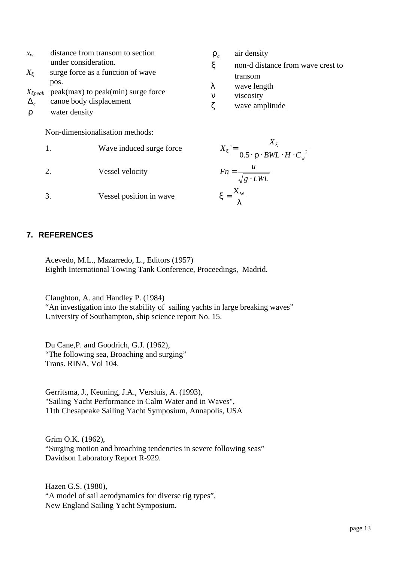| $\chi_{_W}$                                                          |                                                                          | distance from transom to section                                            | $\mathbf{r}_a$                            | air density                                                                     |
|----------------------------------------------------------------------|--------------------------------------------------------------------------|-----------------------------------------------------------------------------|-------------------------------------------|---------------------------------------------------------------------------------|
| $X_{\mathbf{x}}$<br>$X_{\text{xpeak}}$<br>$\Delta_c$<br>$\mathbf{r}$ | under consideration.<br>pos.<br>canoe body displacement<br>water density | surge force as a function of wave<br>$peak(max)$ to $peak(min)$ surge force | $\boldsymbol{X}$<br>λ<br>$\mathbf n$<br>Z | non-d distance from wa<br>transom<br>wave length<br>viscosity<br>wave amplitude |
|                                                                      |                                                                          | Non-dimensionalisation methods:                                             |                                           |                                                                                 |
|                                                                      | 1.                                                                       | Wave induced surge force                                                    |                                           | $X_{x}$<br>$0.5 \cdot \mathbf{r} \cdot BWL \cdot H \cdot C_{w}^{2}$             |
|                                                                      |                                                                          |                                                                             |                                           |                                                                                 |

3. Vessel position in wave

2. Vessel velocity

$$
X_x = \frac{X_x}{0.5 \cdot \mathbf{r} \cdot BWL \cdot H \cdot C_w}
$$

*x* non-d distance from wave crest to

$$
Fn = \frac{u}{\sqrt{g \cdot LWL}}
$$

$$
x = \frac{X_w}{I}
$$

# **7. REFERENCES**

Acevedo, M.L., Mazarredo, L., Editors (1957) Eighth International Towing Tank Conference, Proceedings, Madrid.

Claughton, A. and Handley P. (1984)

"An investigation into the stability of sailing yachts in large breaking waves" University of Southampton, ship science report No. 15.

Du Cane,P. and Goodrich, G.J. (1962), "The following sea, Broaching and surging" Trans. RINA, Vol 104.

Gerritsma, J., Keuning, J.A., Versluis, A. (1993), "Sailing Yacht Performance in Calm Water and in Waves", 11th Chesapeake Sailing Yacht Symposium, Annapolis, USA

Grim O.K. (1962), "Surging motion and broaching tendencies in severe following seas" Davidson Laboratory Report R-929.

Hazen G.S. (1980), "A model of sail aerodynamics for diverse rig types", New England Sailing Yacht Symposium.